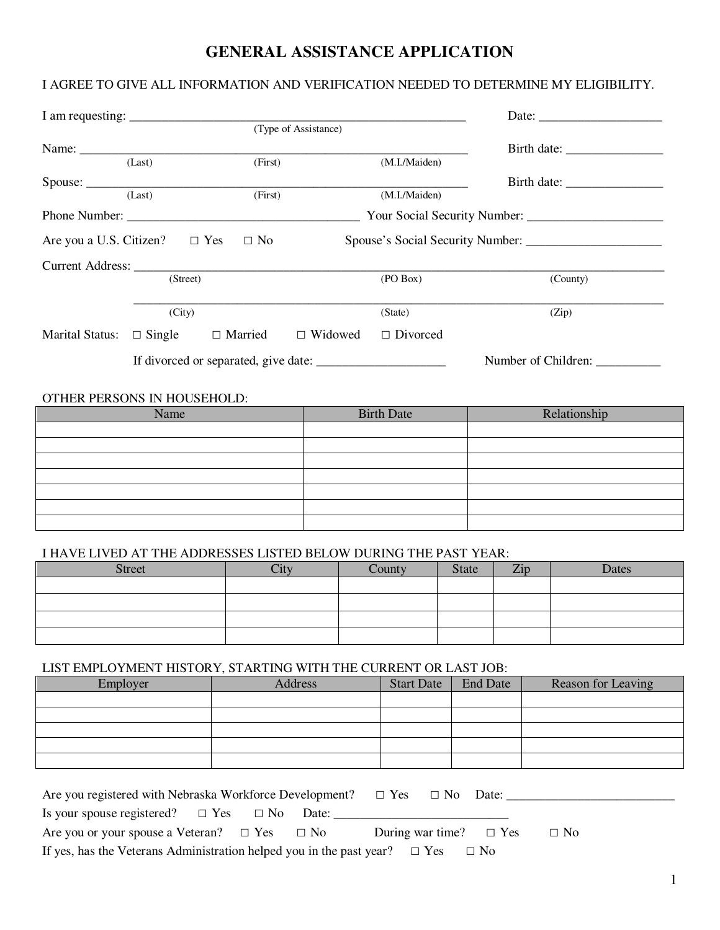# **GENERAL ASSISTANCE APPLICATION**

## I AGREE TO GIVE ALL INFORMATION AND VERIFICATION NEEDED TO DETERMINE MY ELIGIBILITY.

| I am requesting: $\frac{1}{\frac{1}{2} \cdot \frac{1}{2} \cdot \frac{1}{2} \cdot \frac{1}{2} \cdot \frac{1}{2} \cdot \frac{1}{2} \cdot \frac{1}{2} \cdot \frac{1}{2} \cdot \frac{1}{2} \cdot \frac{1}{2} \cdot \frac{1}{2} \cdot \frac{1}{2} \cdot \frac{1}{2} \cdot \frac{1}{2} \cdot \frac{1}{2} \cdot \frac{1}{2} \cdot \frac{1}{2} \cdot \frac{1}{2} \cdot \frac{1}{2} \cdot \frac{1}{2} \cdot \frac{1}{2} \cdot \frac{1}{2} \cdot$ |               |                |                      |                 | Date:                            |
|-----------------------------------------------------------------------------------------------------------------------------------------------------------------------------------------------------------------------------------------------------------------------------------------------------------------------------------------------------------------------------------------------------------------------------------------|---------------|----------------|----------------------|-----------------|----------------------------------|
|                                                                                                                                                                                                                                                                                                                                                                                                                                         |               |                | (Type of Assistance) |                 |                                  |
|                                                                                                                                                                                                                                                                                                                                                                                                                                         |               |                |                      |                 | Birth date:                      |
|                                                                                                                                                                                                                                                                                                                                                                                                                                         | (Last)        | (First)        |                      | (M.I./Maiden)   |                                  |
|                                                                                                                                                                                                                                                                                                                                                                                                                                         |               |                |                      |                 | Birth date:                      |
|                                                                                                                                                                                                                                                                                                                                                                                                                                         | (Last)        | (First)        |                      | (M.I./Maiden)   |                                  |
| Phone Number:                                                                                                                                                                                                                                                                                                                                                                                                                           |               |                |                      |                 |                                  |
| Are you a U.S. Citizen? $\square$ Yes                                                                                                                                                                                                                                                                                                                                                                                                   |               | $\Box$ No      |                      |                 | Spouse's Social Security Number: |
|                                                                                                                                                                                                                                                                                                                                                                                                                                         |               |                |                      |                 |                                  |
|                                                                                                                                                                                                                                                                                                                                                                                                                                         | (Street)      |                |                      | (PO Box)        | (County)                         |
|                                                                                                                                                                                                                                                                                                                                                                                                                                         | (City)        |                |                      | (State)         | (Zip)                            |
| <b>Marital Status:</b>                                                                                                                                                                                                                                                                                                                                                                                                                  | $\Box$ Single | $\Box$ Married | $\Box$ Widowed       | $\Box$ Divorced |                                  |
|                                                                                                                                                                                                                                                                                                                                                                                                                                         |               |                |                      |                 | Number of Children:              |

#### OTHER PERSONS IN HOUSEHOLD:

| Name | <b>Birth Date</b> | Relationship |
|------|-------------------|--------------|
|      |                   |              |
|      |                   |              |
|      |                   |              |
|      |                   |              |
|      |                   |              |
|      |                   |              |
|      |                   |              |

### I HAVE LIVED AT THE ADDRESSES LISTED BELOW DURING THE PAST YEAR:

| <b>Street</b> | County | State | Zip. | Dates |
|---------------|--------|-------|------|-------|
|               |        |       |      |       |
|               |        |       |      |       |
|               |        |       |      |       |
|               |        |       |      |       |

#### LIST EMPLOYMENT HISTORY, STARTING WITH THE CURRENT OR LAST JOB:

| Employer | Address | <b>Start Date</b> | <b>End Date</b> | Reason for Leaving |
|----------|---------|-------------------|-----------------|--------------------|
|          |         |                   |                 |                    |
|          |         |                   |                 |                    |
|          |         |                   |                 |                    |
|          |         |                   |                 |                    |
|          |         |                   |                 |                    |

| Are you registered with Nebraska Workforce Development? $\square$ Yes $\square$ No Date:        |                                             |
|-------------------------------------------------------------------------------------------------|---------------------------------------------|
| Is your spouse registered? $\square$ Yes $\square$ No Date:                                     |                                             |
| Are you or your spouse a Veteran? $\Box$ Yes $\Box$ No                                          | During war time? $\square$ Yes<br>$\Box$ No |
| If yes, has the Veterans Administration helped you in the past year? $\square$ Yes $\square$ No |                                             |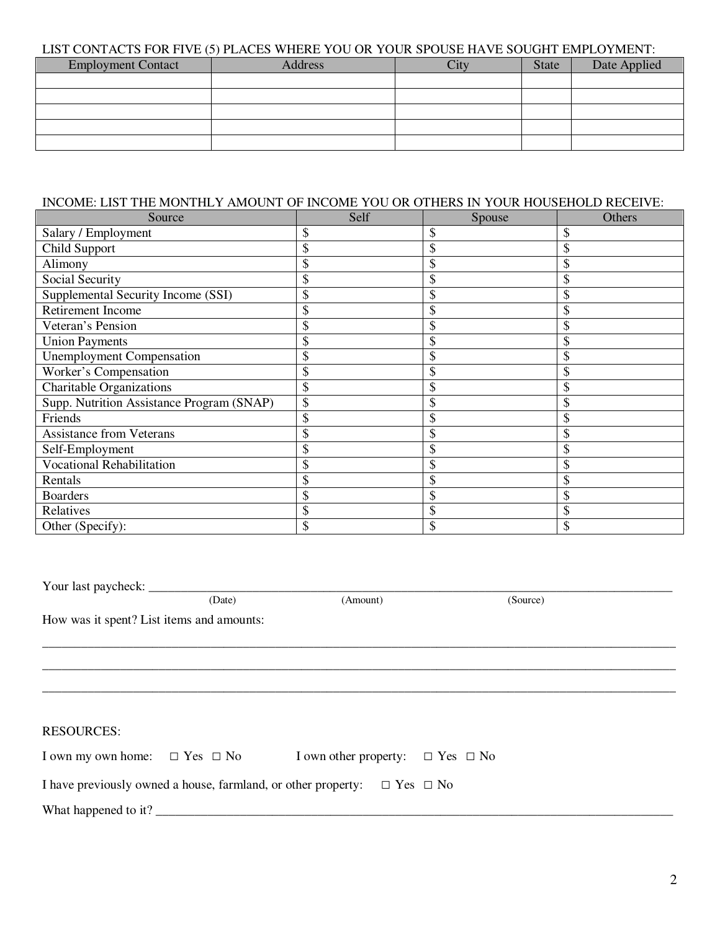#### LIST CONTACTS FOR FIVE (5) PLACES WHERE YOU OR YOUR SPOUSE HAVE SOUGHT EMPLOYMENT:

| <b>Employment Contact</b> | <b>Address</b> | State | Date Applied |
|---------------------------|----------------|-------|--------------|
|                           |                |       |              |
|                           |                |       |              |
|                           |                |       |              |
|                           |                |       |              |
|                           |                |       |              |

#### INCOME: LIST THE MONTHLY AMOUNT OF INCOME YOU OR OTHERS IN YOUR HOUSEHOLD RECEIVE:

| Source                                    | Self | Spouse | Others |
|-------------------------------------------|------|--------|--------|
| Salary / Employment                       | \$   | \$     | \$     |
| Child Support                             |      |        |        |
| Alimony                                   |      |        |        |
| Social Security                           | J    |        |        |
| Supplemental Security Income (SSI)        |      |        |        |
| Retirement Income                         |      |        |        |
| Veteran's Pension                         |      |        |        |
| <b>Union Payments</b>                     |      |        |        |
| <b>Unemployment Compensation</b>          | \$   | J)     |        |
| Worker's Compensation                     |      | Φ      |        |
| <b>Charitable Organizations</b>           |      |        |        |
| Supp. Nutrition Assistance Program (SNAP) |      |        |        |
| Friends                                   | \$   | \$     | \$     |
| <b>Assistance from Veterans</b>           | \$   |        |        |
| Self-Employment                           |      | Φ      |        |
| Vocational Rehabilitation                 |      |        |        |
| Rentals                                   |      |        |        |
| <b>Boarders</b>                           | J)   |        |        |
| Relatives                                 |      |        |        |
| Other (Specify):                          | \$   | \$     | \$     |

Your last paycheck: \_\_\_\_\_\_\_\_\_\_\_\_\_\_\_\_\_\_\_\_\_\_\_\_\_\_\_\_\_\_\_\_\_\_\_\_\_\_\_\_\_\_\_\_\_\_\_\_\_\_\_\_\_\_\_\_\_\_\_\_\_\_\_\_\_\_\_\_\_\_\_\_\_\_\_\_\_\_\_\_\_ (Date) (Amount) (Source) How was it spent? List items and amounts: \_\_\_\_\_\_\_\_\_\_\_\_\_\_\_\_\_\_\_\_\_\_\_\_\_\_\_\_\_\_\_\_\_\_\_\_\_\_\_\_\_\_\_\_\_\_\_\_\_\_\_\_\_\_\_\_\_\_\_\_\_\_\_\_\_\_\_\_\_\_\_\_\_\_\_\_\_\_\_\_\_\_\_\_\_\_\_\_\_\_\_\_\_\_\_\_\_\_ \_\_\_\_\_\_\_\_\_\_\_\_\_\_\_\_\_\_\_\_\_\_\_\_\_\_\_\_\_\_\_\_\_\_\_\_\_\_\_\_\_\_\_\_\_\_\_\_\_\_\_\_\_\_\_\_\_\_\_\_\_\_\_\_\_\_\_\_\_\_\_\_\_\_\_\_\_\_\_\_\_\_\_\_\_\_\_\_\_\_\_\_\_\_\_\_\_\_ \_\_\_\_\_\_\_\_\_\_\_\_\_\_\_\_\_\_\_\_\_\_\_\_\_\_\_\_\_\_\_\_\_\_\_\_\_\_\_\_\_\_\_\_\_\_\_\_\_\_\_\_\_\_\_\_\_\_\_\_\_\_\_\_\_\_\_\_\_\_\_\_\_\_\_\_\_\_\_\_\_\_\_\_\_\_\_\_\_\_\_\_\_\_\_\_\_\_ RESOURCES: I own my own home: □ Yes □ No I own other property: □ Yes □ No I have previously owned a house, farmland, or other property:  $\Box$  Yes  $\Box$  No What happened to it? \_\_\_\_\_\_\_\_\_\_\_\_\_\_\_\_\_\_\_\_\_\_\_\_\_\_\_\_\_\_\_\_\_\_\_\_\_\_\_\_\_\_\_\_\_\_\_\_\_\_\_\_\_\_\_\_\_\_\_\_\_\_\_\_\_\_\_\_\_\_\_\_\_\_\_\_\_\_\_\_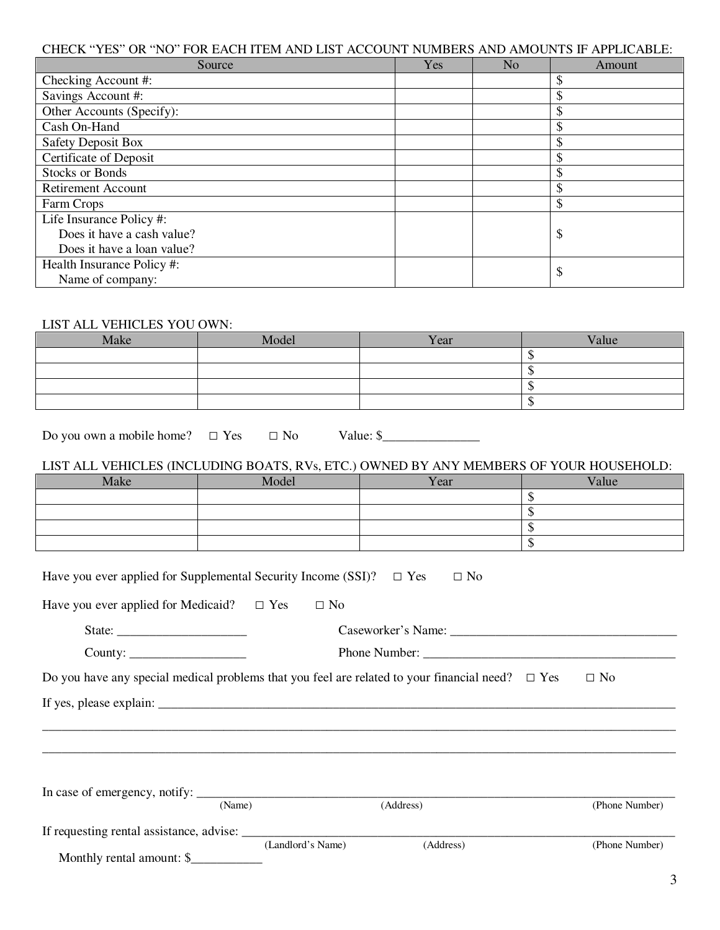### CHECK "YES" OR "NO" FOR EACH ITEM AND LIST ACCOUNT NUMBERS AND AMOUNTS IF APPLICABLE:

| Source                     | Yes | No | Amount |
|----------------------------|-----|----|--------|
| Checking Account #:        |     |    | \$     |
| Savings Account #:         |     |    | \$     |
| Other Accounts (Specify):  |     |    | \$     |
| Cash On-Hand               |     |    | \$     |
| <b>Safety Deposit Box</b>  |     |    | \$     |
| Certificate of Deposit     |     |    | \$     |
| <b>Stocks or Bonds</b>     |     |    | \$     |
| <b>Retirement Account</b>  |     |    | \$     |
| Farm Crops                 |     |    | \$     |
| Life Insurance Policy #:   |     |    |        |
| Does it have a cash value? |     |    | \$     |
| Does it have a loan value? |     |    |        |
| Health Insurance Policy #: |     |    | \$     |
| Name of company:           |     |    |        |

## LIST ALL VEHICLES YOU OWN:

| Make | Model | Year | Value |
|------|-------|------|-------|
|      |       |      |       |
|      |       |      |       |
|      |       |      |       |
|      |       |      |       |

Do you own a mobile home? □ Yes □ No Value: \$\_\_\_\_\_\_\_\_\_\_\_\_\_\_\_

### LIST ALL VEHICLES (INCLUDING BOATS, RVs, ETC.) OWNED BY ANY MEMBERS OF YOUR HOUSEHOLD:

| Make | Model | Year | Value |
|------|-------|------|-------|
|      |       |      |       |
|      |       |      |       |
|      |       |      |       |
|      |       |      |       |

| Have you ever applied for Supplemental Security Income (SSI)? $\Box$ Yes | $\Box$ No                                                                                                |                |
|--------------------------------------------------------------------------|----------------------------------------------------------------------------------------------------------|----------------|
| Have you ever applied for Medicaid? $\square$ Yes $\square$ No           |                                                                                                          |                |
|                                                                          |                                                                                                          |                |
|                                                                          |                                                                                                          |                |
|                                                                          | Do you have any special medical problems that you feel are related to your financial need? $\square$ Yes | $\Box$ No      |
|                                                                          |                                                                                                          |                |
|                                                                          |                                                                                                          |                |
|                                                                          |                                                                                                          |                |
|                                                                          |                                                                                                          |                |
|                                                                          |                                                                                                          |                |
| (Name)                                                                   | (Address)                                                                                                | (Phone Number) |
|                                                                          |                                                                                                          |                |
|                                                                          | (Address)<br>(Landlord's Name)                                                                           | (Phone Number) |

Monthly rental amount: \$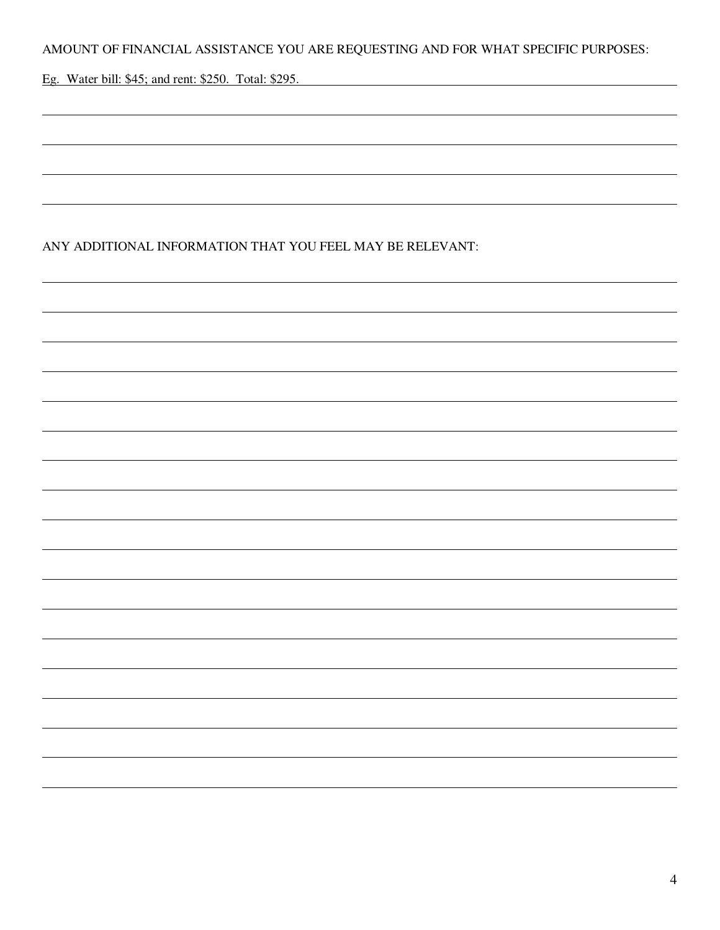AMOUNT OF FINANCIAL ASSISTANCE YOU ARE REQUESTING AND FOR WHAT SPECIFIC PURPOSES:

Eg. Water bill: \$45; and rent: \$250. Total: \$295.

 $\overline{a}$ 

 $\overline{a}$ 

 $\overline{a}$ 

 $\overline{a}$ 

## ANY ADDITIONAL INFORMATION THAT YOU FEEL MAY BE RELEVANT: